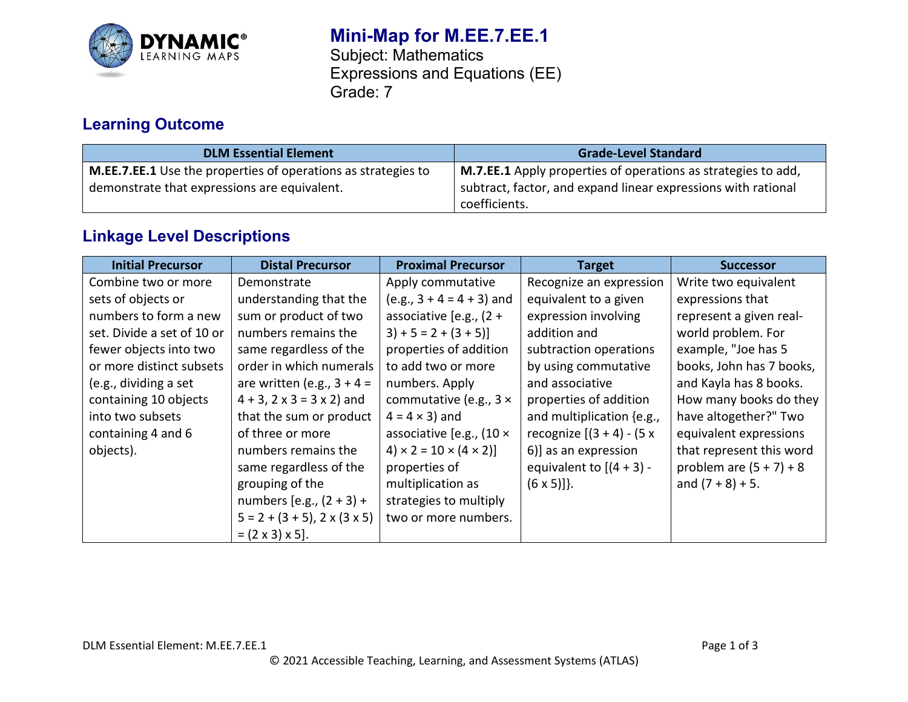

# **Mini-Map for M.EE.7.EE.1**

Subject: Mathematics Expressions and Equations (EE) Grade: 7

## **Learning Outcome**

| <b>DLM Essential Element</b>                                                                                         | <b>Grade-Level Standard</b>                                                                                                                     |
|----------------------------------------------------------------------------------------------------------------------|-------------------------------------------------------------------------------------------------------------------------------------------------|
| <b>M.EE.7.EE.1</b> Use the properties of operations as strategies to<br>demonstrate that expressions are equivalent. | M.7.EE.1 Apply properties of operations as strategies to add,<br>subtract, factor, and expand linear expressions with rational<br>coefficients. |

### **Linkage Level Descriptions**

| <b>Initial Precursor</b>   | <b>Distal Precursor</b>                     | <b>Proximal Precursor</b>               | <b>Target</b>                | <b>Successor</b>          |
|----------------------------|---------------------------------------------|-----------------------------------------|------------------------------|---------------------------|
| Combine two or more        | Demonstrate                                 | Apply commutative                       | Recognize an expression      | Write two equivalent      |
| sets of objects or         | understanding that the                      | $(e.g., 3 + 4 = 4 + 3)$ and             | equivalent to a given        | expressions that          |
| numbers to form a new      | sum or product of two                       | associative [e.g., $(2 +$               | expression involving         | represent a given real-   |
| set. Divide a set of 10 or | numbers remains the                         | $3+5=2+(3+5)$                           | addition and                 | world problem. For        |
| fewer objects into two     | same regardless of the                      | properties of addition                  | subtraction operations       | example, "Joe has 5       |
| or more distinct subsets   | order in which numerals                     | to add two or more                      | by using commutative         | books, John has 7 books,  |
| (e.g., dividing a set      | are written (e.g., $3 + 4 =$                | numbers. Apply                          | and associative              | and Kayla has 8 books.    |
| containing 10 objects      | $4 + 3$ , $2 \times 3 = 3 \times 2$ ) and   | commutative (e.g., $3 \times$           | properties of addition       | How many books do they    |
| into two subsets           | that the sum or product                     | $4 = 4 \times 3$ ) and                  | and multiplication {e.g.,    | have altogether?" Two     |
| containing 4 and 6         | of three or more                            | associative [e.g., $(10 \times$         | recognize $[(3 + 4) - (5 x)$ | equivalent expressions    |
| objects).                  | numbers remains the                         | $(4) \times 2 = 10 \times (4 \times 2)$ | 6)] as an expression         | that represent this word  |
|                            | same regardless of the                      | properties of                           | equivalent to $[(4 + 3) -$   | problem are $(5 + 7) + 8$ |
|                            | grouping of the                             | multiplication as                       | $(6 \times 5)$ ].            | and $(7 + 8) + 5$ .       |
|                            | numbers [e.g., $(2 + 3) +$                  | strategies to multiply                  |                              |                           |
|                            | $5 = 2 + (3 + 5)$ , $2 \times (3 \times 5)$ | two or more numbers.                    |                              |                           |
|                            | $= (2 \times 3) \times 5$ .                 |                                         |                              |                           |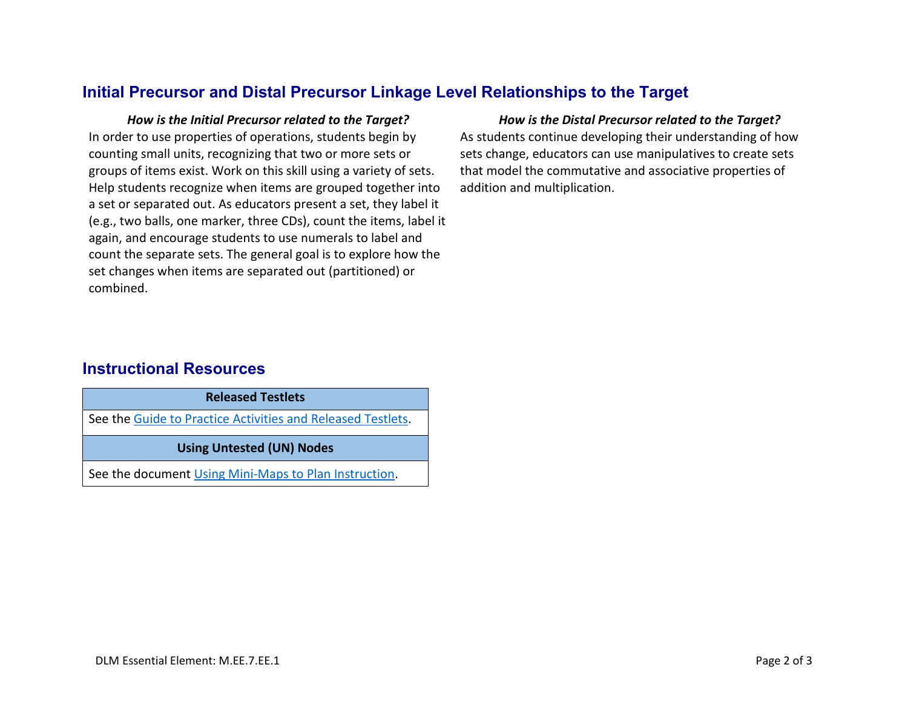### **Initial Precursor and Distal Precursor Linkage Level Relationships to the Target**

In order to use properties of operations, students begin by counting small units, recognizing that two or more sets or groups of items exist. Work on this skill using a variety of sets. Help students recognize when items are grouped together into a set or separated out. As educators present a set, they label it (e.g., two balls, one marker, three CDs), count the items, label it again, and encourage students to use numerals to label and count the separate sets. The general goal is to explore how the set changes when items are separated out (partitioned) or combined.

#### *How is the Initial Precursor related to the Target? How is the Distal Precursor related to the Target?*

As students continue developing their understanding of how sets change, educators can use manipulatives to create sets that model the commutative and associative properties of addition and multiplication.

### **Instructional Resources**